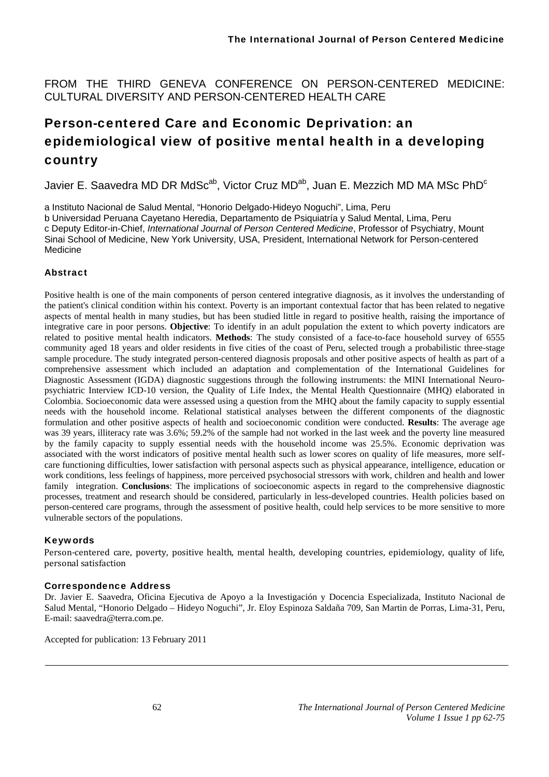FROM THE THIRD GENEVA CONFERENCE ON PERSON-CENTERED MEDICINE: CULTURAL DIVERSITY AND PERSON-CENTERED HEALTH CARE

# Person-centered Care and Economic Deprivation: an epidemiological view of positive mental health in a developing country

Javier E. Saavedra MD DR MdSc<sup>ab</sup>, Victor Cruz MD<sup>ab</sup>, Juan E. Mezzich MD MA MSc PhD<sup>c</sup>

a Instituto Nacional de Salud Mental, "Honorio Delgado-Hideyo Noguchi", Lima, Peru

b Universidad Peruana Cayetano Heredia, Departamento de Psiquiatría y Salud Mental, Lima, Peru c Deputy Editor-in-Chief, *International Journal of Person Centered Medicine*, Professor of Psychiatry, Mount Sinai School of Medicine, New York University, USA, President, International Network for Person-centered Medicine

## **Abstract**

Positive health is one of the main components of person centered integrative diagnosis, as it involves the understanding of the patient's clinical condition within his context. Poverty is an important contextual factor that has been related to negative aspects of mental health in many studies, but has been studied little in regard to positive health, raising the importance of integrative care in poor persons. **Objective**: To identify in an adult population the extent to which poverty indicators are related to positive mental health indicators. **Methods**: The study consisted of a face-to-face household survey of 6555 community aged 18 years and older residents in five cities of the coast of Peru, selected trough a probabilistic three-stage sample procedure. The study integrated person-centered diagnosis proposals and other positive aspects of health as part of a comprehensive assessment which included an adaptation and complementation of the International Guidelines for Diagnostic Assessment (IGDA) diagnostic suggestions through the following instruments: the MINI International Neuropsychiatric Interview ICD-10 version, the Quality of Life Index, the Mental Health Questionnaire (MHQ) elaborated in Colombia. Socioeconomic data were assessed using a question from the MHQ about the family capacity to supply essential needs with the household income. Relational statistical analyses between the different components of the diagnostic formulation and other positive aspects of health and socioeconomic condition were conducted. **Results**: The average age was 39 years, illiteracy rate was 3.6%; 59.2% of the sample had not worked in the last week and the poverty line measured by the family capacity to supply essential needs with the household income was 25.5%. Economic deprivation was associated with the worst indicators of positive mental health such as lower scores on quality of life measures, more selfcare functioning difficulties, lower satisfaction with personal aspects such as physical appearance, intelligence, education or work conditions, less feelings of happiness, more perceived psychosocial stressors with work, children and health and lower family integration. **Conclusions**: The implications of socioeconomic aspects in regard to the comprehensive diagnostic processes, treatment and research should be considered, particularly in less-developed countries. Health policies based on person-centered care programs, through the assessment of positive health, could help services to be more sensitive to more vulnerable sectors of the populations.

## Keywords

Person-centered care, poverty, positive health, mental health, developing countries, epidemiology, quality of life, personal satisfaction

## Correspondence Address

Dr. Javier E. Saavedra, Oficina Ejecutiva de Apoyo a la Investigación y Docencia Especializada, Instituto Nacional de Salud Mental, "Honorio Delgado – Hideyo Noguchi", Jr. Eloy Espinoza Saldaña 709, San Martin de Porras, Lima-31, Peru, E-mail: saavedra@terra.com.pe.

Accepted for publication: 13 February 2011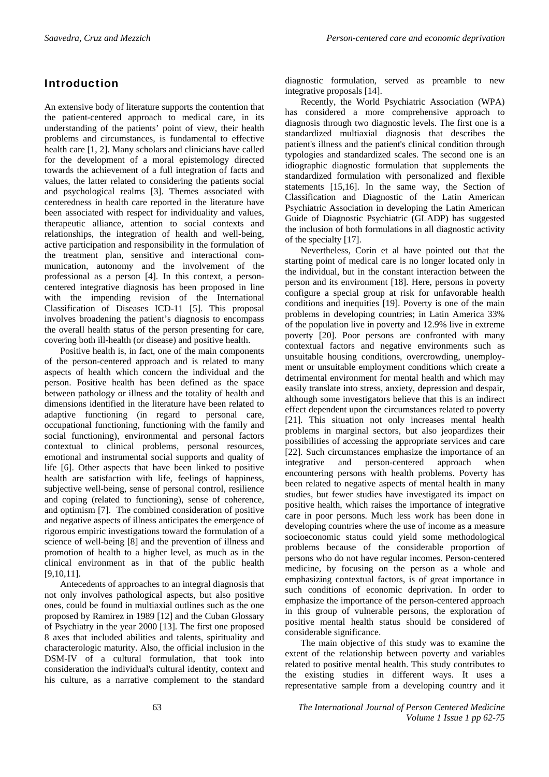# Introduction

An extensive body of literature supports the contention that the patient-centered approach to medical care, in its understanding of the patients' point of view, their health problems and circumstances, is fundamental to effective health care [1, 2]. Many scholars and clinicians have called for the development of a moral epistemology directed towards the achievement of a full integration of facts and values, the latter related to considering the patients social and psychological realms [3]. Themes associated with centeredness in health care reported in the literature have been associated with respect for individuality and values, therapeutic alliance, attention to social contexts and relationships, the integration of health and well-being, active participation and responsibility in the formulation of the treatment plan, sensitive and interactional communication, autonomy and the involvement of the professional as a person [4]. In this context, a personcentered integrative diagnosis has been proposed in line with the impending revision of the International Classification of Diseases ICD-11 [5]. This proposal involves broadening the patient's diagnosis to encompass the overall health status of the person presenting for care, covering both ill-health (or disease) and positive health.

Positive health is, in fact, one of the main components of the person-centered approach and is related to many aspects of health which concern the individual and the person. Positive health has been defined as the space between pathology or illness and the totality of health and dimensions identified in the literature have been related to adaptive functioning (in regard to personal care, occupational functioning, functioning with the family and social functioning), environmental and personal factors contextual to clinical problems, personal resources, emotional and instrumental social supports and quality of life [6]. Other aspects that have been linked to positive health are satisfaction with life, feelings of happiness, subjective well-being, sense of personal control, resilience and coping (related to functioning), sense of coherence, and optimism [7]. The combined consideration of positive and negative aspects of illness anticipates the emergence of rigorous empiric investigations toward the formulation of a science of well-being [8] and the prevention of illness and promotion of health to a higher level, as much as in the clinical environment as in that of the public health [9,10,11].

Antecedents of approaches to an integral diagnosis that not only involves pathological aspects, but also positive ones, could be found in multiaxial outlines such as the one proposed by Ramirez in 1989 [12] and the Cuban Glossary of Psychiatry in the year 2000 [13]. The first one proposed 8 axes that included abilities and talents, spirituality and characterologic maturity. Also, the official inclusion in the DSM-IV of a cultural formulation, that took into consideration the individual's cultural identity, context and his culture, as a narrative complement to the standard

diagnostic formulation, served as preamble to new integrative proposals [14].

Recently, the World Psychiatric Association (WPA) has considered a more comprehensive approach to diagnosis through two diagnostic levels. The first one is a standardized multiaxial diagnosis that describes the patient's illness and the patient's clinical condition through typologies and standardized scales. The second one is an idiographic diagnostic formulation that supplements the standardized formulation with personalized and flexible statements [15,16]. In the same way, the Section of Classification and Diagnostic of the Latin American Psychiatric Association in developing the Latin American Guide of Diagnostic Psychiatric (GLADP) has suggested the inclusion of both formulations in all diagnostic activity of the specialty [17].

Nevertheless, Corin et al have pointed out that the starting point of medical care is no longer located only in the individual, but in the constant interaction between the person and its environment [18]. Here, persons in poverty configure a special group at risk for unfavorable health conditions and inequities [19]. Poverty is one of the main problems in developing countries; in Latin America 33% of the population live in poverty and 12.9% live in extreme poverty [20]. Poor persons are confronted with many contextual factors and negative environments such as unsuitable housing conditions, overcrowding, unemployment or unsuitable employment conditions which create a detrimental environment for mental health and which may easily translate into stress, anxiety, depression and despair, although some investigators believe that this is an indirect effect dependent upon the circumstances related to poverty [21]. This situation not only increases mental health problems in marginal sectors, but also jeopardizes their possibilities of accessing the appropriate services and care [22]. Such circumstances emphasize the importance of an integrative and person-centered approach when encountering persons with health problems. Poverty has been related to negative aspects of mental health in many studies, but fewer studies have investigated its impact on positive health, which raises the importance of integrative care in poor persons. Much less work has been done in developing countries where the use of income as a measure socioeconomic status could yield some methodological problems because of the considerable proportion of persons who do not have regular incomes. Person-centered medicine, by focusing on the person as a whole and emphasizing contextual factors, is of great importance in such conditions of economic deprivation. In order to emphasize the importance of the person-centered approach in this group of vulnerable persons, the exploration of positive mental health status should be considered of considerable significance.

The main objective of this study was to examine the extent of the relationship between poverty and variables related to positive mental health. This study contributes to the existing studies in different ways. It uses a representative sample from a developing country and it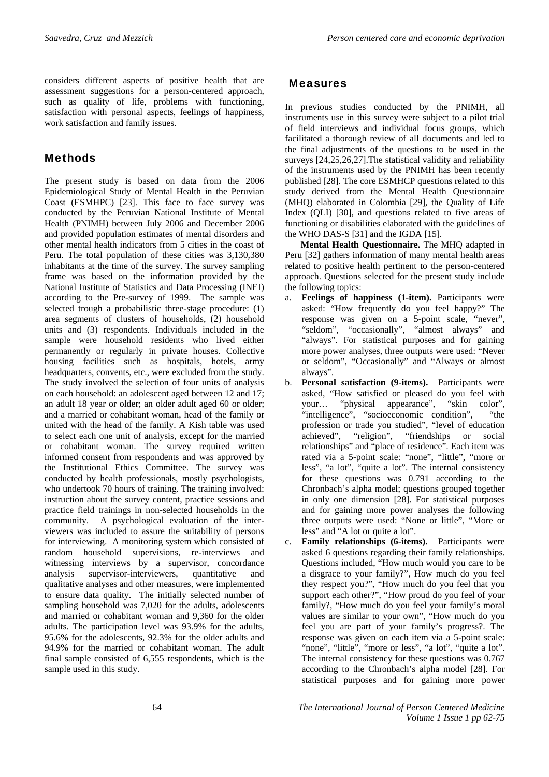considers different aspects of positive health that are assessment suggestions for a person-centered approach, such as quality of life, problems with functioning, satisfaction with personal aspects, feelings of happiness, work satisfaction and family issues.

## Methods

The present study is based on data from the 2006 Epidemiological Study of Mental Health in the Peruvian Coast (ESMHPC) [23]. This face to face survey was conducted by the Peruvian National Institute of Mental Health (PNIMH) between July 2006 and December 2006 and provided population estimates of mental disorders and other mental health indicators from 5 cities in the coast of Peru. The total population of these cities was 3,130,380 inhabitants at the time of the survey. The survey sampling frame was based on the information provided by the National Institute of Statistics and Data Processing (INEI) according to the Pre-survey of 1999. The sample was selected trough a probabilistic three-stage procedure: (1) area segments of clusters of households, (2) household units and (3) respondents. Individuals included in the sample were household residents who lived either permanently or regularly in private houses. Collective housing facilities such as hospitals, hotels, army headquarters, convents, etc., were excluded from the study. The study involved the selection of four units of analysis on each household: an adolescent aged between 12 and 17; an adult 18 year or older; an older adult aged 60 or older; and a married or cohabitant woman, head of the family or united with the head of the family. A Kish table was used to select each one unit of analysis, except for the married or cohabitant woman. The survey required written informed consent from respondents and was approved by the Institutional Ethics Committee. The survey was conducted by health professionals, mostly psychologists, who undertook 70 hours of training. The training involved: instruction about the survey content, practice sessions and practice field trainings in non-selected households in the community. A psychological evaluation of the interviewers was included to assure the suitability of persons for interviewing. A monitoring system which consisted of random household supervisions, re-interviews and witnessing interviews by a supervisor, concordance analysis supervisor-interviewers, quantitative and qualitative analyses and other measures, were implemented to ensure data quality. The initially selected number of sampling household was 7,020 for the adults, adolescents and married or cohabitant woman and 9,360 for the older adults. The participation level was 93.9% for the adults, 95.6% for the adolescents, 92.3% for the older adults and 94.9% for the married or cohabitant woman. The adult final sample consisted of 6,555 respondents, which is the sample used in this study.

## Measures

In previous studies conducted by the PNIMH, all instruments use in this survey were subject to a pilot trial of field interviews and individual focus groups, which facilitated a thorough review of all documents and led to the final adjustments of the questions to be used in the surveys [24,25,26,27].The statistical validity and reliability of the instruments used by the PNIMH has been recently published [28]. The core ESMHCP questions related to this study derived from the Mental Health Questionnaire (MHQ) elaborated in Colombia [29], the Quality of Life Index (QLI) [30], and questions related to five areas of functioning or disabilities elaborated with the guidelines of the WHO DAS-S [31] and the IGDA [15].

**Mental Health Questionnaire.** The MHQ adapted in Peru [32] gathers information of many mental health areas related to positive health pertinent to the person-centered approach. Questions selected for the present study include the following topics:

- a. **Feelings of happiness (1-item).** Participants were asked: "How frequently do you feel happy?" The response was given on a 5-point scale, "never", "seldom", "occasionally", "almost always" and "always". For statistical purposes and for gaining more power analyses, three outputs were used: "Never or seldom", "Occasionally" and "Always or almost always".
- b. **Personal satisfaction (9-items).** Participants were asked, "How satisfied or pleased do you feel with your… "physical appearance", "skin color", "intelligence", "socioeconomic condition", "the profession or trade you studied", "level of education achieved", "religion", "friendships or social relationships" and "place of residence". Each item was rated via a 5-point scale: "none", "little", "more or less", "a lot", "quite a lot". The internal consistency for these questions was 0.791 according to the Chronbach's alpha model; questions grouped together in only one dimension [28]. For statistical purposes and for gaining more power analyses the following three outputs were used: "None or little", "More or less" and "A lot or quite a lot".
- c. **Family relationships (6-items).** Participants were asked 6 questions regarding their family relationships. Questions included, "How much would you care to be a disgrace to your family?", How much do you feel they respect you?", "How much do you feel that you support each other?", "How proud do you feel of your family?, "How much do you feel your family's moral values are similar to your own", "How much do you feel you are part of your family's progress?. The response was given on each item via a 5-point scale: "none", "little", "more or less", "a lot", "quite a lot". The internal consistency for these questions was 0.767 according to the Chronbach's alpha model [28]. For statistical purposes and for gaining more power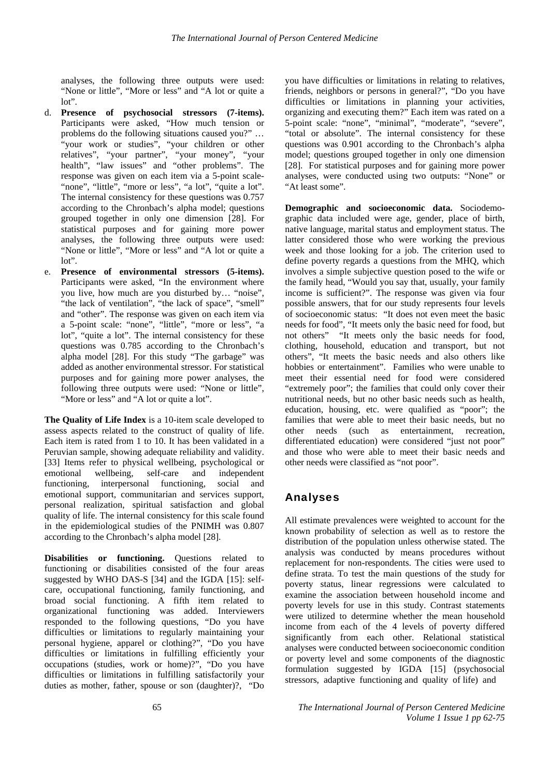analyses, the following three outputs were used: "None or little", "More or less" and "A lot or quite a lot".

- d. **Presence of psychosocial stressors (7-items).**  Participants were asked, "How much tension or problems do the following situations caused you?" … "your work or studies", "your children or other relatives", "your partner", "your money", "your health", "law issues" and "other problems". The response was given on each item via a 5-point scale- "none", "little", "more or less", "a lot", "quite a lot". The internal consistency for these questions was 0.757 according to the Chronbach's alpha model; questions grouped together in only one dimension [28]. For statistical purposes and for gaining more power analyses, the following three outputs were used: "None or little", "More or less" and "A lot or quite a lot".
- e. **Presence of environmental stressors (5-items).** Participants were asked, "In the environment where you live, how much are you disturbed by… "noise", "the lack of ventilation", "the lack of space", "smell" and "other". The response was given on each item via a 5-point scale: "none", "little", "more or less", "a lot", "quite a lot". The internal consistency for these questions was 0.785 according to the Chronbach's alpha model [28]. For this study "The garbage" was added as another environmental stressor. For statistical purposes and for gaining more power analyses, the following three outputs were used: "None or little", "More or less" and "A lot or quite a lot".

**The Quality of Life Index** is a 10-item scale developed to assess aspects related to the construct of quality of life. Each item is rated from 1 to 10. It has been validated in a Peruvian sample, showing adequate reliability and validity. [33] Items refer to physical wellbeing, psychological or emotional wellbeing, self-care and independent functioning, interpersonal functioning, social and emotional support, communitarian and services support, personal realization, spiritual satisfaction and global quality of life. The internal consistency for this scale found in the epidemiological studies of the PNIMH was 0.807 according to the Chronbach's alpha model [28].

**Disabilities or functioning.** Questions related to functioning or disabilities consisted of the four areas suggested by WHO DAS-S [34] and the IGDA [15]: selfcare, occupational functioning, family functioning, and broad social functioning. A fifth item related to organizational functioning was added. Interviewers responded to the following questions, "Do you have difficulties or limitations to regularly maintaining your personal hygiene, apparel or clothing?", "Do you have difficulties or limitations in fulfilling efficiently your occupations (studies, work or home)?", "Do you have difficulties or limitations in fulfilling satisfactorily your duties as mother, father, spouse or son (daughter)?, "Do

you have difficulties or limitations in relating to relatives, friends, neighbors or persons in general?", "Do you have difficulties or limitations in planning your activities, organizing and executing them?" Each item was rated on a 5-point scale: "none", "minimal", "moderate", "severe", "total or absolute". The internal consistency for these questions was 0.901 according to the Chronbach's alpha model; questions grouped together in only one dimension [28]. For statistical purposes and for gaining more power analyses, were conducted using two outputs: "None" or "At least some".

**Demographic and socioeconomic data.** Sociodemographic data included were age, gender, place of birth, native language, marital status and employment status. The latter considered those who were working the previous week and those looking for a job. The criterion used to define poverty regards a questions from the MHQ, which involves a simple subjective question posed to the wife or the family head, "Would you say that, usually, your family income is sufficient?". The response was given via four possible answers, that for our study represents four levels of socioeconomic status: "It does not even meet the basic needs for food", "It meets only the basic need for food, but not others" "It meets only the basic needs for food, clothing, household, education and transport, but not others", "It meets the basic needs and also others like hobbies or entertainment". Families who were unable to meet their essential need for food were considered "extremely poor"; the families that could only cover their nutritional needs, but no other basic needs such as health, education, housing, etc. were qualified as "poor"; the families that were able to meet their basic needs, but no other needs (such as entertainment, recreation, differentiated education) were considered "just not poor" and those who were able to meet their basic needs and other needs were classified as "not poor".

# Analyses

All estimate prevalences were weighted to account for the known probability of selection as well as to restore the distribution of the population unless otherwise stated. The analysis was conducted by means procedures without replacement for non-respondents. The cities were used to define strata. To test the main questions of the study for poverty status, linear regressions were calculated to examine the association between household income and poverty levels for use in this study. Contrast statements were utilized to determine whether the mean household income from each of the 4 levels of poverty differed significantly from each other. Relational statistical analyses were conducted between socioeconomic condition or poverty level and some components of the diagnostic formulation suggested by IGDA [15] (psychosocial stressors, adaptive functioning and quality of life) and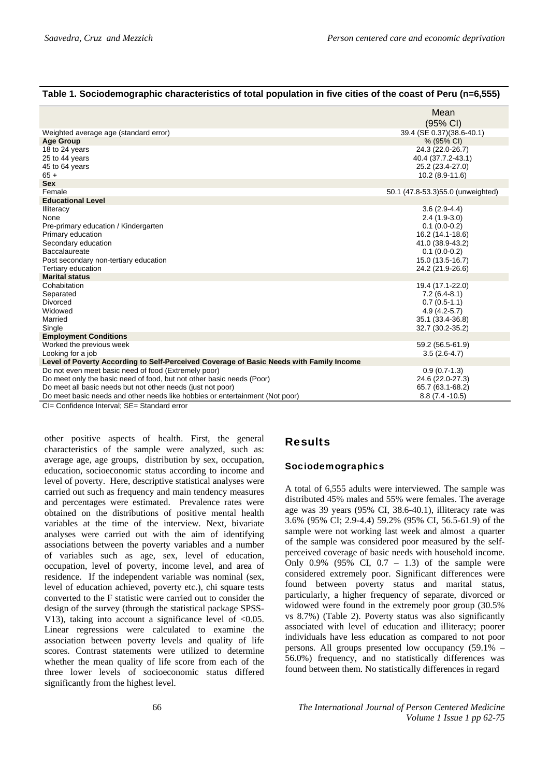## **Table 1. Sociodemographic characteristics of total population in five cities of the coast of Peru (n=6,555)**

|                                                                                         | Mean                              |
|-----------------------------------------------------------------------------------------|-----------------------------------|
|                                                                                         | (95% CI)                          |
| Weighted average age (standard error)                                                   | 39.4 (SE 0.37)(38.6-40.1)         |
| <b>Age Group</b>                                                                        | % (95% CI)                        |
| 18 to 24 years                                                                          | 24.3 (22.0-26.7)                  |
| 25 to 44 years                                                                          | 40.4 (37.7.2-43.1)                |
| 45 to 64 years                                                                          | 25.2 (23.4-27.0)                  |
| $65 +$                                                                                  | $10.2(8.9-11.6)$                  |
| <b>Sex</b>                                                                              |                                   |
| Female                                                                                  | 50.1 (47.8-53.3)55.0 (unweighted) |
| <b>Educational Level</b>                                                                |                                   |
| Illiteracy                                                                              | $3.6(2.9-4.4)$                    |
| None                                                                                    | $2.4(1.9-3.0)$                    |
| Pre-primary education / Kindergarten                                                    | $0.1(0.0-0.2)$                    |
| Primary education                                                                       | 16.2 (14.1-18.6)                  |
| Secondary education                                                                     | 41.0 (38.9-43.2)                  |
| Baccalaureate                                                                           | $0.1(0.0-0.2)$                    |
| Post secondary non-tertiary education                                                   | 15.0 (13.5-16.7)                  |
| Tertiary education                                                                      | 24.2 (21.9-26.6)                  |
| <b>Marital status</b>                                                                   |                                   |
| Cohabitation                                                                            | 19.4 (17.1-22.0)                  |
| Separated                                                                               | $7.2(6.4-8.1)$                    |
| Divorced                                                                                | $0.7(0.5-1.1)$                    |
| Widowed                                                                                 | $4.9(4.2-5.7)$                    |
| Married                                                                                 | 35.1 (33.4-36.8)                  |
| Single                                                                                  | 32.7 (30.2-35.2)                  |
| <b>Employment Conditions</b>                                                            |                                   |
| Worked the previous week                                                                | 59.2 (56.5-61.9)                  |
| Looking for a job                                                                       | $3.5(2.6-4.7)$                    |
| Level of Poverty According to Self-Perceived Coverage of Basic Needs with Family Income |                                   |
| Do not even meet basic need of food (Extremely poor)                                    | $0.9(0.7-1.3)$                    |
| Do meet only the basic need of food, but not other basic needs (Poor)                   | 24.6 (22.0-27.3)                  |
| Do meet all basic needs but not other needs (just not poor)                             | 65.7 (63.1-68.2)                  |
| Do meet basic needs and other needs like hobbies or entertainment (Not poor)            | $8.8(7.4 - 10.5)$                 |
| CL Confidence Interval: CE, Ctondord over                                               |                                   |

CI= Confidence Interval; SE= Standard error

other positive aspects of health. First, the general characteristics of the sample were analyzed, such as: average age, age groups, distribution by sex, occupation, education, socioeconomic status according to income and level of poverty. Here, descriptive statistical analyses were carried out such as frequency and main tendency measures and percentages were estimated. Prevalence rates were obtained on the distributions of positive mental health variables at the time of the interview. Next, bivariate analyses were carried out with the aim of identifying associations between the poverty variables and a number of variables such as age, sex, level of education, occupation, level of poverty, income level, and area of residence. If the independent variable was nominal (sex, level of education achieved, poverty etc.), chi square tests converted to the F statistic were carried out to consider the design of the survey (through the statistical package SPSS-V13), taking into account a significance level of  $< 0.05$ . Linear regressions were calculated to examine the association between poverty levels and quality of life scores. Contrast statements were utilized to determine whether the mean quality of life score from each of the three lower levels of socioeconomic status differed significantly from the highest level.

## Results

#### Sociodemographics

A total of 6,555 adults were interviewed. The sample was distributed 45% males and 55% were females. The average age was 39 years (95% CI, 38.6-40.1), illiteracy rate was 3.6% (95% CI; 2.9-4.4) 59.2% (95% CI, 56.5-61.9) of the sample were not working last week and almost a quarter of the sample was considered poor measured by the selfperceived coverage of basic needs with household income. Only  $0.9\%$  (95% CI,  $0.7 - 1.3$ ) of the sample were considered extremely poor. Significant differences were found between poverty status and marital status, particularly, a higher frequency of separate, divorced or widowed were found in the extremely poor group (30.5% vs 8.7%) (Table 2). Poverty status was also significantly associated with level of education and illiteracy; poorer individuals have less education as compared to not poor persons. All groups presented low occupancy (59.1% – 56.0%) frequency, and no statistically differences was found between them. No statistically differences in regard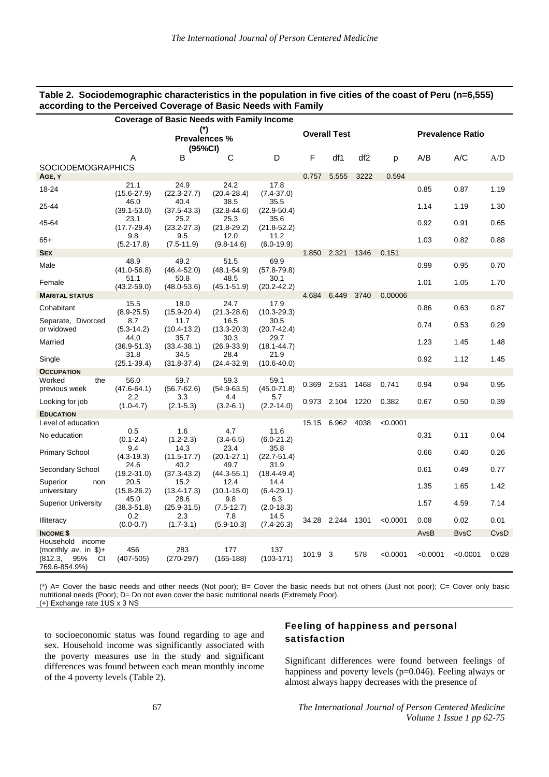#### **Table 2. Sociodemographic characteristics in the population in five cities of the coast of Peru (n=6,555) according to the Perceived Coverage of Basic Needs with Family**

| Coverage of Basic Needs with Family Income                                                    |                                 |                         |                         |                         |                     |             |                 |          |                         |             |       |
|-----------------------------------------------------------------------------------------------|---------------------------------|-------------------------|-------------------------|-------------------------|---------------------|-------------|-----------------|----------|-------------------------|-------------|-------|
|                                                                                               | (*)<br>Prevalences %<br>(95%CI) |                         |                         |                         | <b>Overall Test</b> |             |                 |          | <b>Prevalence Ratio</b> |             |       |
|                                                                                               | Α                               | B                       | С                       | D                       | F                   | df1         | df <sub>2</sub> | p        | A/B                     | A/C         | A/D   |
| SOCIODEMOGRAPHICS                                                                             |                                 |                         |                         |                         | 0.757               | 5.555       | 3222            | 0.594    |                         |             |       |
| AGE, Y<br>18-24                                                                               | 21.1<br>$(15.6 - 27.9)$         | 24.9<br>$(22.3 - 27.7)$ | 24.2<br>$(20.4 - 28.4)$ | 17.8<br>$(7.4 - 37.0)$  |                     |             |                 |          | 0.85                    | 0.87        | 1.19  |
| 25-44                                                                                         | 46.0<br>$(39.1 - 53.0)$         | 40.4<br>$(37.5 - 43.3)$ | 38.5<br>$(32.8 - 44.6)$ | 35.5<br>$(22.9 - 50.4)$ |                     |             |                 |          | 1.14                    | 1.19        | 1.30  |
| 45-64                                                                                         | 23.1<br>$(17.7 - 29.4)$         | 25.2<br>$(23.2 - 27.3)$ | 25.3<br>$(21.8 - 29.2)$ | 35.6<br>$(21.8 - 52.2)$ |                     |             |                 |          | 0.92                    | 0.91        | 0.65  |
| $65+$                                                                                         | 9.8<br>$(5.2 - 17.8)$           | 9.5<br>$(7.5 - 11.9)$   | 12.0<br>$(9.8 - 14.6)$  | 11.2<br>$(6.0-19.9)$    |                     |             |                 |          | 1.03                    | 0.82        | 0.88  |
| <b>SEX</b>                                                                                    |                                 |                         |                         |                         | 1.850               | 2.321       | 1346            | 0.151    |                         |             |       |
| Male                                                                                          | 48.9<br>$(41.0 - 56.8)$         | 49.2<br>$(46.4 - 52.0)$ | 51.5<br>$(48.1 - 54.9)$ | 69.9<br>$(57.8 - 79.8)$ |                     |             |                 |          | 0.99                    | 0.95        | 0.70  |
| Female                                                                                        | 51.1<br>$(43.2 - 59.0)$         | 50.8<br>$(48.0 - 53.6)$ | 48.5<br>$(45.1 - 51.9)$ | 30.1<br>$(20.2 - 42.2)$ |                     |             |                 |          | 1.01                    | 1.05        | 1.70  |
| <b>MARITAL STATUS</b>                                                                         |                                 |                         |                         |                         | 4.684               | 6.449       | 3740            | 0.00006  |                         |             |       |
| Cohabitant                                                                                    | 15.5<br>$(8.9 - 25.5)$          | 18.0<br>$(15.9 - 20.4)$ | 24.7<br>$(21.3 - 28.6)$ | 17.9<br>$(10.3 - 29.3)$ |                     |             |                 |          | 0.86                    | 0.63        | 0.87  |
| Separate, Divorced<br>or widowed                                                              | 8.7<br>$(5.3 - 14.2)$           | 11.7<br>$(10.4 - 13.2)$ | 16.5<br>(13.3-20.3)     | 30.5<br>$(20.7 - 42.4)$ |                     |             |                 |          | 0.74                    | 0.53        | 0.29  |
| Married                                                                                       | 44.0<br>(36.9-51.3)             | 35.7<br>$(33.4 - 38.1)$ | 30.3<br>$(26.9 - 33.9)$ | 29.7<br>$(18.1 - 44.7)$ |                     |             |                 |          | 1.23                    | 1.45        | 1.48  |
| Single                                                                                        | 31.8<br>$(25.1 - 39.4)$         | 34.5<br>$(31.8-37.4)$   | 28.4<br>$(24.4 - 32.9)$ | 21.9<br>$(10.6 - 40.0)$ |                     |             |                 |          | 0.92                    | 1.12        | 1.45  |
| <b>OCCUPATION</b>                                                                             |                                 |                         |                         |                         |                     |             |                 |          |                         |             |       |
| Worked<br>the<br>previous week                                                                | 56.0<br>$(47.6 - 64.1)$         | 59.7<br>$(56.7 - 62.6)$ | 59.3<br>$(54.9 - 63.5)$ | 59.1<br>$(45.0 - 71.8)$ | 0.369               | 2.531       | 1468            | 0.741    | 0.94                    | 0.94        | 0.95  |
| Looking for job                                                                               | 2.2<br>$(1.0 - 4.7)$            | 3.3<br>$(2.1 - 5.3)$    | 4.4<br>$(3.2 - 6.1)$    | 5.7<br>$(2.2 - 14.0)$   | 0.973               | 2.104       | 1220            | 0.382    | 0.67                    | 0.50        | 0.39  |
| <b>EDUCATION</b>                                                                              |                                 |                         |                         |                         |                     |             | 4038            | < 0.0001 |                         |             |       |
| Level of education<br>No education                                                            | 0.5                             | 1.6                     | 4.7                     | 11.6                    |                     | 15.15 6.962 |                 |          | 0.31                    | 0.11        | 0.04  |
| <b>Primary School</b>                                                                         | $(0.1 - 2.4)$<br>9.4            | $(1.2 - 2.3)$<br>14.3   | $(3.4 - 6.5)$<br>23.4   | $(6.0-21.2)$<br>35.8    |                     |             |                 |          | 0.66                    | 0.40        | 0.26  |
| Secondary School                                                                              | $(4.3 - 19.3)$<br>24.6          | $(11.5 - 17.7)$<br>40.2 | $(20.1 - 27.1)$<br>49.7 | $(22.7 - 51.4)$<br>31.9 |                     |             |                 |          | 0.61                    | 0.49        | 0.77  |
| Superior<br>non                                                                               | $(19.2 - 31.0)$<br>20.5         | $(37.3 - 43.2)$<br>15.2 | $(44.3 - 55.1)$<br>12.4 | $(18.4 - 49.4)$<br>14.4 |                     |             |                 |          | 1.35                    | 1.65        | 1.42  |
| universitary                                                                                  | $(15.8 - 26.2)$                 | $(13.4 - 17.3)$         | $(10.1 - 15.0)$         | $(6.4 - 29.1)$          |                     |             |                 |          |                         |             |       |
| <b>Superior University</b>                                                                    | 45.0<br>$(38.3 - 51.8)$         | 28.6<br>$(25.9 - 31.5)$ | 9.8<br>$(7.5 - 12.7)$   | 6.3<br>$(2.0 - 18.3)$   |                     |             |                 |          | 1.57                    | 4.59        | 7.14  |
| Illiteracy                                                                                    | 0.2<br>$(0.0 - 0.7)$            | 2.3<br>$(1.7 - 3.1)$    | 7.8<br>$(5.9 - 10.3)$   | 14.5<br>$(7.4 - 26.3)$  |                     | 34.28 2.244 | 1301            | < 0.0001 | 0.08                    | 0.02        | 0.01  |
| <b>INCOME \$</b>                                                                              |                                 |                         |                         |                         |                     |             |                 |          | AvsB                    | <b>BvsC</b> | CvsD  |
| Household income<br>(monthly av. in $\frac{1}{2}$ )+<br>(812.3,<br>95%<br>CI<br>769.6-854.9%) | 456<br>$(407 - 505)$            | 283<br>$(270-297)$      | 177<br>$(165 - 188)$    | 137<br>$(103-171)$      | 101.9 3             |             | 578             | < 0.0001 | < 0.0001                | < 0.0001    | 0.028 |

(\*) A= Cover the basic needs and other needs (Not poor); B= Cover the basic needs but not others (Just not poor); C= Cover only basic nutritional needs (Poor); D= Do not even cover the basic nutritional needs (Extremely Poor). (+) Exchange rate 1US x 3 NS

to socioeconomic status was found regarding to age and sex. Household income was significantly associated with the poverty measures use in the study and significant differences was found between each mean monthly income of the 4 poverty levels (Table 2).

## Feeling of happiness and personal satisfaction

Significant differences were found between feelings of happiness and poverty levels (p=0.046). Feeling always or almost always happy decreases with the presence of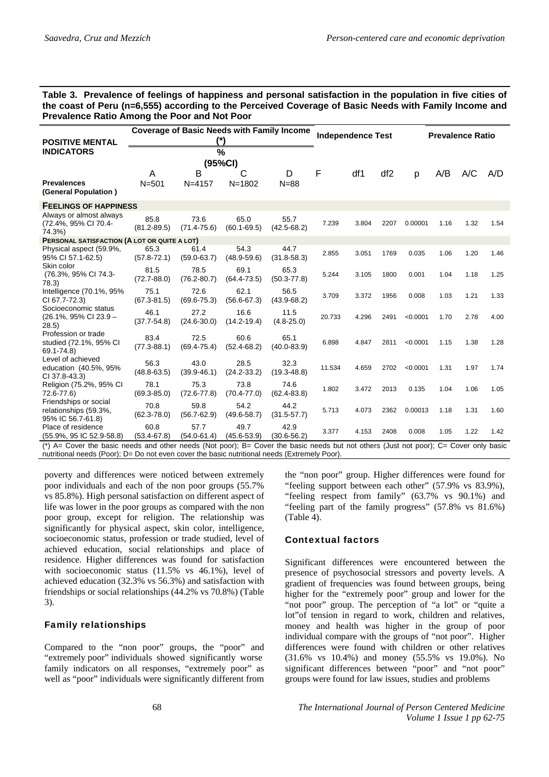#### **Table 3. Prevalence of feelings of happiness and personal satisfaction in the population in five cities of the coast of Peru (n=6,555) according to the Perceived Coverage of Basic Needs with Family Income and Prevalence Ratio Among the Poor and Not Poor**

| <b>POSITIVE MENTAL</b>                                              | <b>Coverage of Basic Needs with Family Income</b><br>(*) |                         |                         |                         |        | <b>Independence Test</b> |                 | <b>Prevalence Ratio</b> |      |      |      |  |
|---------------------------------------------------------------------|----------------------------------------------------------|-------------------------|-------------------------|-------------------------|--------|--------------------------|-----------------|-------------------------|------|------|------|--|
| <b>INDICATORS</b>                                                   | $\%$<br>(95%CI)                                          |                         |                         |                         |        |                          |                 |                         |      |      |      |  |
| <b>Prevalences</b><br>(General Population)                          | A<br>$N = 501$                                           | B<br>$N = 4157$         | C<br>$N = 1802$         | D<br>$N = 88$           | F      | df1                      | df <sub>2</sub> | p                       | A/B  | A/C  | A/D  |  |
| <b>FEELINGS OF HAPPINESS</b>                                        |                                                          |                         |                         |                         |        |                          |                 |                         |      |      |      |  |
| Always or almost always<br>(72.4%, 95% CI 70.4-<br>74.3%)           | 85.8<br>$(81.2 - 89.5)$                                  | 73.6<br>$(71.4 - 75.6)$ | 65.0<br>$(60.1 - 69.5)$ | 55.7<br>$(42.5 - 68.2)$ | 7.239  | 3.804                    | 2207            | 0.00001                 | 1.16 | 1.32 | 1.54 |  |
| PERSONAL SATISFACTION (A LOT OR QUITE A LOT)                        |                                                          |                         |                         |                         |        |                          |                 |                         |      |      |      |  |
| Physical aspect (59.9%,<br>95% CI 57.1-62.5)                        | 65.3<br>$(57.8 - 72.1)$                                  | 61.4<br>$(59.0 - 63.7)$ | 54.3<br>$(48.9 - 59.6)$ | 44.7<br>$(31.8 - 58.3)$ | 2.855  | 3.051                    | 1769            | 0.035                   | 1.06 | 1.20 | 1.46 |  |
| Skin color<br>(76.3%, 95% CI 74.3-<br>78.3)                         | 81.5<br>$(72.7 - 88.0)$                                  | 78.5<br>$(76.2 - 80.7)$ | 69.1<br>$(64.4 - 73.5)$ | 65.3<br>$(50.3 - 77.8)$ | 5.244  | 3.105                    | 1800            | 0.001                   | 1.04 | 1.18 | 1.25 |  |
| Intelligence (70.1%, 95%<br>CI 67.7-72.3)                           | 75.1<br>$(67.3 - 81.5)$                                  | 72.6<br>$(69.6 - 75.3)$ | 62.1<br>$(56.6 - 67.3)$ | 56.5<br>$(43.9 - 68.2)$ | 3.709  | 3.372                    | 1956            | 0.008                   | 1.03 | 1.21 | 1.33 |  |
| Socioeconomic status<br>$(26.1\% , 95\% \text{ CI } 23.9 -$<br>28.5 | 46.1<br>$(37.7 - 54.8)$                                  | 27.2<br>$(24.6 - 30.0)$ | 16.6<br>$(14.2 - 19.4)$ | 11.5<br>$(4.8 - 25.0)$  | 20.733 | 4.296                    | 2491            | < 0.0001                | 1.70 | 2.78 | 4.00 |  |
| Profession or trade<br>studied (72.1%, 95% CI<br>69.1-74.8)         | 83.4<br>$(77.3 - 88.1)$                                  | 72.5<br>$(69.4 - 75.4)$ | 60.6<br>$(52.4 - 68.2)$ | 65.1<br>$(40.0 - 83.9)$ | 6.898  | 4.847                    | 2811            | < 0.0001                | 1.15 | 1.38 | 1.28 |  |
| Level of achieved<br>education (40.5%, 95%<br>CI 37.8-43.3)         | 56.3<br>$(48.8 - 63.5)$                                  | 43.0<br>$(39.9 - 46.1)$ | 28.5<br>$(24.2 - 33.2)$ | 32.3<br>$(19.3 - 48.8)$ | 11.534 | 4.659                    | 2702            | < 0.0001                | 1.31 | 1.97 | 1.74 |  |
| Religion (75.2%, 95% CI<br>72.6-77.6)                               | 78.1<br>$(69.3 - 85.0)$                                  | 75.3<br>$(72.6 - 77.8)$ | 73.8<br>$(70.4 - 77.0)$ | 74.6<br>$(62.4 - 83.8)$ | 1.802  | 3.472                    | 2013            | 0.135                   | 1.04 | 1.06 | 1.05 |  |
| Friendships or social<br>relationships (59.3%,<br>95% IC 56.7-61.8) | 70.8<br>$(62.3 - 78.0)$                                  | 59.8<br>$(56.7 - 62.9)$ | 54.2<br>$(49.6 - 58.7)$ | 44.2<br>$(31.5 - 57.7)$ | 5.713  | 4.073                    | 2362            | 0.00013                 | 1.18 | 1.31 | 1.60 |  |
| Place of residence<br>(55.9%, 95 IC 52.9-58.8)                      | 60.8<br>$(53.4 - 67.8)$                                  | 57.7<br>$(54.0 - 61.4)$ | 49.7<br>$(45.6 - 53.9)$ | 42.9<br>$(30.6 - 56.2)$ | 3.377  | 4.153                    | 2408            | 0.008                   | 1.05 | 1.22 | 1.42 |  |

(\*) A= Cover the basic needs and other needs (Not poor); B= Cover the basic needs but not others (Just not poor); C= Cover only basic nutritional needs (Poor); D= Do not even cover the basic nutritional needs (Extremely Poor).

poverty and differences were noticed between extremely poor individuals and each of the non poor groups (55.7% vs 85.8%). High personal satisfaction on different aspect of life was lower in the poor groups as compared with the non poor group, except for religion. The relationship was significantly for physical aspect, skin color, intelligence, socioeconomic status, profession or trade studied, level of achieved education, social relationships and place of residence. Higher differences was found for satisfaction with socioeconomic status (11.5% vs 46.1%), level of achieved education (32.3% vs 56.3%) and satisfaction with friendships or social relationships (44.2% vs 70.8%) (Table 3).

# Family relationships

Compared to the "non poor" groups, the "poor" and "extremely poor" individuals showed significantly worse family indicators on all responses, "extremely poor" as well as "poor" individuals were significantly different from the "non poor" group. Higher differences were found for "feeling support between each other" (57.9% vs 83.9%), "feeling respect from family" (63.7% vs 90.1%) and "feeling part of the family progress" (57.8% vs 81.6%) (Table 4).

# Contextual factors

Significant differences were encountered between the presence of psychosocial stressors and poverty levels. A gradient of frequencies was found between groups, being higher for the "extremely poor" group and lower for the "not poor" group. The perception of "a lot" or "quite a lot"of tension in regard to work, children and relatives, money and health was higher in the group of poor individual compare with the groups of "not poor". Higher differences were found with children or other relatives (31.6% vs 10.4%) and money (55.5% vs 19.0%). No significant differences between "poor" and "not poor" groups were found for law issues, studies and problems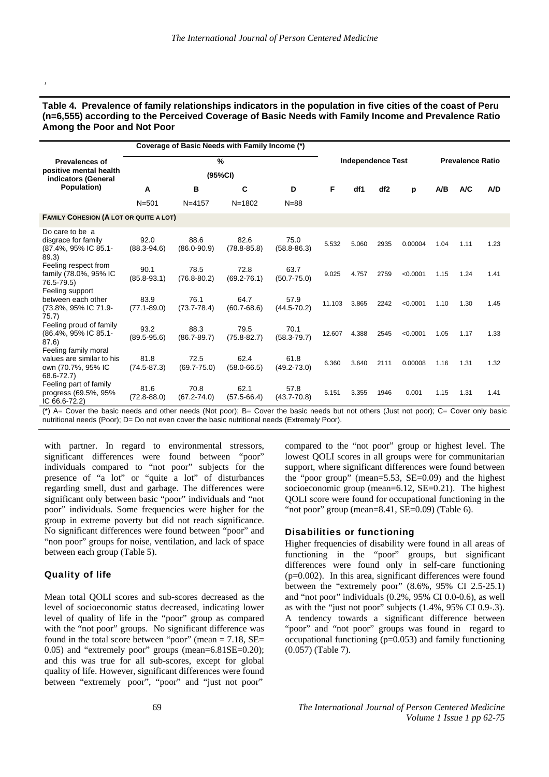#### **Table 4. Prevalence of family relationships indicators in the population in five cities of the coast of Peru (n=6,555) according to the Perceived Coverage of Basic Needs with Family Income and Prevalence Ratio Among the Poor and Not Poor**

|                                                                                       | Coverage of Basic Needs with Family Income (*) |                         |                          |                         |        |                         |                 |          |      |      |      |
|---------------------------------------------------------------------------------------|------------------------------------------------|-------------------------|--------------------------|-------------------------|--------|-------------------------|-----------------|----------|------|------|------|
| <b>Prevalences of</b><br>positive mental health                                       |                                                |                         | <b>Independence Test</b> |                         |        | <b>Prevalence Ratio</b> |                 |          |      |      |      |
| indicators (General<br>Population)                                                    | A                                              | B                       | C                        | D                       | F      | df1                     | df <sub>2</sub> | р        | A/B  | A/C  | A/D  |
|                                                                                       | $N = 501$                                      | $N = 4157$              | $N = 1802$               | $N = 88$                |        |                         |                 |          |      |      |      |
| <b>FAMILY COHESION (A LOT OR QUITE A LOT)</b>                                         |                                                |                         |                          |                         |        |                         |                 |          |      |      |      |
| Do care to be a<br>disgrace for family<br>(87.4%, 95% IC 85.1-<br>89.3)               | 92.0<br>$(88.3 - 94.6)$                        | 88.6<br>$(86.0 - 90.9)$ | 82.6<br>$(78.8 - 85.8)$  | 75.0<br>$(58.8 - 86.3)$ | 5.532  | 5.060                   | 2935            | 0.00004  | 1.04 | 1.11 | 1.23 |
| Feeling respect from<br>family (78.0%, 95% IC<br>76.5-79.5)                           | 90.1<br>$(85.8 - 93.1)$                        | 78.5<br>$(76.8 - 80.2)$ | 72.8<br>$(69.2 - 76.1)$  | 63.7<br>$(50.7 - 75.0)$ | 9.025  | 4.757                   | 2759            | < 0.0001 | 1.15 | 1.24 | 1.41 |
| Feeling support<br>between each other<br>(73.8%, 95% IC 71.9-<br>75.7)                | 83.9<br>$(77.1 - 89.0)$                        | 76.1<br>$(73.7 - 78.4)$ | 64.7<br>$(60.7 - 68.6)$  | 57.9<br>$(44.5 - 70.2)$ | 11.103 | 3.865                   | 2242            | < 0.0001 | 1.10 | 1.30 | 1.45 |
| Feeling proud of family<br>(86.4%, 95% IC 85.1-<br>87.6)                              | 93.2<br>$(89.5 - 95.6)$                        | 88.3<br>$(86.7 - 89.7)$ | 79.5<br>$(75.8 - 82.7)$  | 70.1<br>$(58.3 - 79.7)$ | 12.607 | 4.388                   | 2545            | < 0.0001 | 1.05 | 1.17 | 1.33 |
| Feeling family moral<br>values are similar to his<br>own (70.7%, 95% IC<br>68.6-72.7) | 81.8<br>$(74.5 - 87.3)$                        | 72.5<br>$(69.7 - 75.0)$ | 62.4<br>$(58.0 - 66.5)$  | 61.8<br>$(49.2 - 73.0)$ | 6.360  | 3.640                   | 2111            | 0.00008  | 1.16 | 1.31 | 1.32 |
| Feeling part of family<br>progress (69.5%, 95%<br>IC $66.6 - 72.2$                    | 81.6<br>$(72.8 - 88.0)$                        | 70.8<br>$(67.2 - 74.0)$ | 62.1<br>$(57.5 - 66.4)$  | 57.8<br>$(43.7 - 70.8)$ | 5.151  | 3.355                   | 1946            | 0.001    | 1.15 | 1.31 | 1.41 |

(\*) A= Cover the basic needs and other needs (Not poor); B= Cover the basic needs but not others (Just not poor); C= Cover only basic nutritional needs (Poor); D= Do not even cover the basic nutritional needs (Extremely Poor).

with partner. In regard to environmental stressors, significant differences were found between "poor" individuals compared to "not poor" subjects for the presence of "a lot" or "quite a lot" of disturbances regarding smell, dust and garbage. The differences were significant only between basic "poor" individuals and "not poor" individuals. Some frequencies were higher for the group in extreme poverty but did not reach significance. No significant differences were found between "poor" and "non poor" groups for noise, ventilation, and lack of space between each group (Table 5).

#### Quality of life

,

Mean total QOLI scores and sub-scores decreased as the level of socioeconomic status decreased, indicating lower level of quality of life in the "poor" group as compared with the "not poor" groups. No significant difference was found in the total score between "poor" (mean  $= 7.18$ , SE $=$ 0.05) and "extremely poor" groups (mean=6.81SE=0.20); and this was true for all sub-scores, except for global quality of life. However, significant differences were found between "extremely poor", "poor" and "just not poor"

compared to the "not poor" group or highest level. The lowest QOLI scores in all groups were for communitarian support, where significant differences were found between the "poor group" (mean=5.53, SE=0.09) and the highest socioeconomic group (mean= $6.12$ , SE= $0.21$ ). The highest QOLI score were found for occupational functioning in the "not poor" group (mean=8.41, SE=0.09) (Table 6).

#### Disabilities or functioning

Higher frequencies of disability were found in all areas of functioning in the "poor" groups, but significant differences were found only in self-care functioning (p=0.002). In this area, significant differences were found between the "extremely poor" (8.6%, 95% CI 2.5-25.1) and "not poor" individuals (0.2%, 95% CI 0.0-0.6), as well as with the "just not poor" subjects (1.4%, 95% CI 0.9-.3). A tendency towards a significant difference between "poor" and "not poor" groups was found in regard to occupational functioning  $(p=0.053)$  and family functioning (0.057) (Table 7).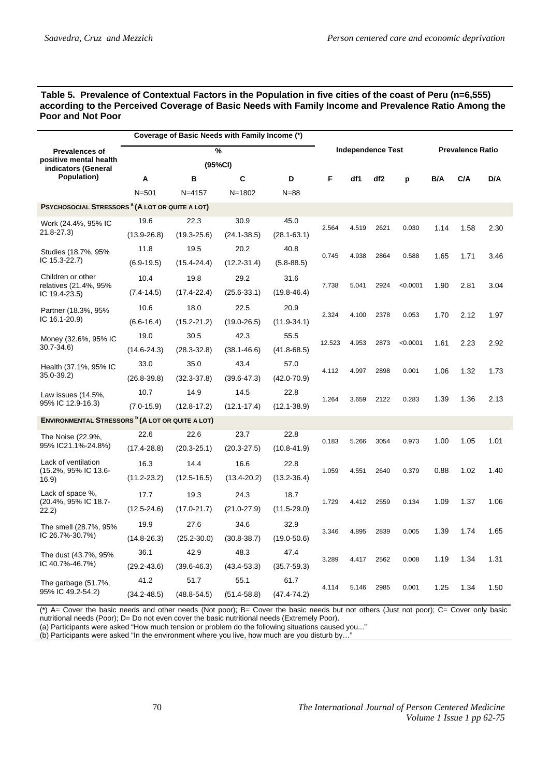#### **Table 5. Prevalence of Contextual Factors in the Population in five cities of the coast of Peru (n=6,555) according to the Perceived Coverage of Basic Needs with Family Income and Prevalence Ratio Among the Poor and Not Poor**

|                                                                        | Coverage of Basic Needs with Family Income (*) |                 |                 |                 |        |                          |                 |          |                         |      |      |  |
|------------------------------------------------------------------------|------------------------------------------------|-----------------|-----------------|-----------------|--------|--------------------------|-----------------|----------|-------------------------|------|------|--|
| <b>Prevalences of</b><br>positive mental health<br>indicators (General | %<br>(95%CI)                                   |                 |                 |                 |        | <b>Independence Test</b> |                 |          | <b>Prevalence Ratio</b> |      |      |  |
| Population)                                                            | A                                              | B               | C               | D               | F      | df1                      | df <sub>2</sub> | p        | B/A                     | C/A  | D/A  |  |
|                                                                        | $N = 501$                                      | $N = 4157$      | $N = 1802$      | $N = 88$        |        |                          |                 |          |                         |      |      |  |
| <b>PSYCHOSOCIAL STRESSORS <sup>a</sup> (A LOT OR QUITE A LOT)</b>      |                                                |                 |                 |                 |        |                          |                 |          |                         |      |      |  |
| Work (24.4%, 95% IC                                                    | 19.6                                           | 22.3            | 30.9            | 45.0            | 2.564  | 4.519                    | 2621            | 0.030    | 1.14                    | 1.58 | 2.30 |  |
| 21.8-27.3)                                                             | $(13.9 - 26.8)$                                | $(19.3 - 25.6)$ | $(24.1 - 38.5)$ | $(28.1 - 63.1)$ |        |                          |                 |          |                         |      |      |  |
| Studies (18.7%, 95%                                                    | 11.8                                           | 19.5            | 20.2            | 40.8            | 0.745  | 4.938                    | 2864            | 0.588    | 1.65                    | 1.71 | 3.46 |  |
| IC 15.3-22.7)                                                          | $(6.9 - 19.5)$                                 | $(15.4 - 24.4)$ | $(12.2 - 31.4)$ | $(5.8 - 88.5)$  |        |                          |                 |          |                         |      |      |  |
| Children or other                                                      | 10.4                                           | 19.8            | 29.2            | 31.6            |        |                          |                 |          |                         |      |      |  |
| relatives (21.4%, 95%<br>IC $19.4 - 23.5$                              | $(7.4 - 14.5)$                                 | $(17.4 - 22.4)$ | $(25.6-33.1)$   | $(19.8 - 46.4)$ | 7.738  | 5.041                    | 2924            | < 0.0001 | 1.90                    | 2.81 | 3.04 |  |
| Partner (18.3%, 95%                                                    | 10.6                                           | 18.0            | 22.5            | 20.9            |        |                          |                 | 0.053    | 1.70                    | 2.12 | 1.97 |  |
| IC 16.1-20.9)                                                          | $(6.6 - 16.4)$                                 | $(15.2 - 21.2)$ | $(19.0 - 26.5)$ | $(11.9 - 34.1)$ | 2.324  | 4.100                    | 2378            |          |                         |      |      |  |
| Money (32.6%, 95% IC                                                   | 19.0                                           | 30.5            | 42.3            | 55.5            | 12.523 |                          |                 |          |                         | 2.23 |      |  |
| 30.7-34.6)                                                             | $(14.6 - 24.3)$                                | $(28.3 - 32.8)$ | $(38.1 - 46.6)$ | $(41.8 - 68.5)$ |        | 4.953                    | 2873            | < 0.0001 | 1.61                    |      | 2.92 |  |
| Health (37.1%, 95% IC                                                  | 33.0                                           | 35.0            | 43.4            | 57.0            | 4.112  |                          |                 |          |                         | 1.32 |      |  |
| 35.0-39.2)                                                             | $(26.8 - 39.8)$                                | $(32.3 - 37.8)$ | $(39.6 - 47.3)$ | $(42.0 - 70.9)$ |        | 4.997                    | 2898            | 0.001    | 1.06                    |      | 1.73 |  |
| Law issues (14.5%,                                                     | 10.7                                           | 14.9            | 14.5            | 22.8            |        |                          |                 |          |                         |      |      |  |
| 95% IC 12.9-16.3)                                                      | $(7.0 - 15.9)$                                 | $(12.8 - 17.2)$ | $(12.1 - 17.4)$ | $(12.1 - 38.9)$ | 1.264  | 3.659                    | 2122            | 0.283    | 1.39                    | 1.36 | 2.13 |  |
| <b>ENVIRONMENTAL STRESSORS <sup>b</sup> (A LOT OR QUITE A LOT)</b>     |                                                |                 |                 |                 |        |                          |                 |          |                         |      |      |  |
| The Noise (22.9%,                                                      | 22.6                                           | 22.6            | 23.7            | 22.8            | 0.183  | 5.266                    | 3054            | 0.973    | 1.00                    | 1.05 | 1.01 |  |
| 95% IC21.1%-24.8%)                                                     | $(17.4 - 28.8)$                                | $(20.3 - 25.1)$ | $(20.3 - 27.5)$ | $(10.8 - 41.9)$ |        |                          |                 |          |                         |      |      |  |
| Lack of ventilation                                                    | 16.3                                           | 14.4            | 16.6            | 22.8            |        |                          |                 |          |                         |      |      |  |
| (15.2%, 95% IC 13.6-<br>(16.9)                                         | $(11.2 - 23.2)$                                | $(12.5 - 16.5)$ | $(13.4 - 20.2)$ | $(13.2 - 36.4)$ | 1.059  | 4.551                    | 2640            | 0.379    | 0.88                    | 1.02 | 1.40 |  |
| Lack of space %.                                                       | 17.7                                           | 19.3            | 24.3            | 18.7            |        |                          |                 |          |                         |      |      |  |
| (20.4%, 95% IC 18.7-<br>22.2)                                          | $(12.5 - 24.6)$                                | $(17.0 - 21.7)$ | $(21.0 - 27.9)$ | $(11.5 - 29.0)$ | 1.729  | 4.412                    | 2559            | 0.134    | 1.09                    | 1.37 | 1.06 |  |
| The smell (28.7%, 95%                                                  | 19.9                                           | 27.6            | 34.6            | 32.9            |        |                          |                 |          |                         |      |      |  |
| IC 26.7%-30.7%)                                                        | $(14.8 - 26.3)$                                | $(25.2 - 30.0)$ | $(30.8 - 38.7)$ | $(19.0 - 50.6)$ | 3.346  | 4.895                    | 2839            | 0.005    | 1.39                    | 1.74 | 1.65 |  |
| The dust (43.7%, 95%                                                   | 36.1                                           | 42.9            | 48.3            | 47.4            |        |                          |                 |          |                         |      |      |  |
| IC 40.7%-46.7%)                                                        | $(29.2 - 43.6)$                                | $(39.6 - 46.3)$ | $(43.4 - 53.3)$ | $(35.7 - 59.3)$ | 3.289  | 4.417                    | 2562            | 0.008    | 1.19                    | 1.34 | 1.31 |  |
| The garbage (51.7%,                                                    | 41.2                                           | 51.7            | 55.1            | 61.7            |        |                          |                 |          |                         |      |      |  |
| 95% IC 49.2-54.2)                                                      | $(34.2 - 48.5)$                                | $(48.8 - 54.5)$ | $(51.4 - 58.8)$ | $(47.4 - 74.2)$ | 4.114  | 5.146                    | 2985            | 0.001    | 1.25                    | 1.34 | 1.50 |  |

(\*) A= Cover the basic needs and other needs (Not poor); B= Cover the basic needs but not others (Just not poor); C= Cover only basic nutritional needs (Poor); D= Do not even cover the basic nutritional needs (Extremely Poor).

(a) Participants were asked "How much tension or problem do the following situations caused you..."

(b) Participants were asked "In the environment where you live, how much are you disturb by…"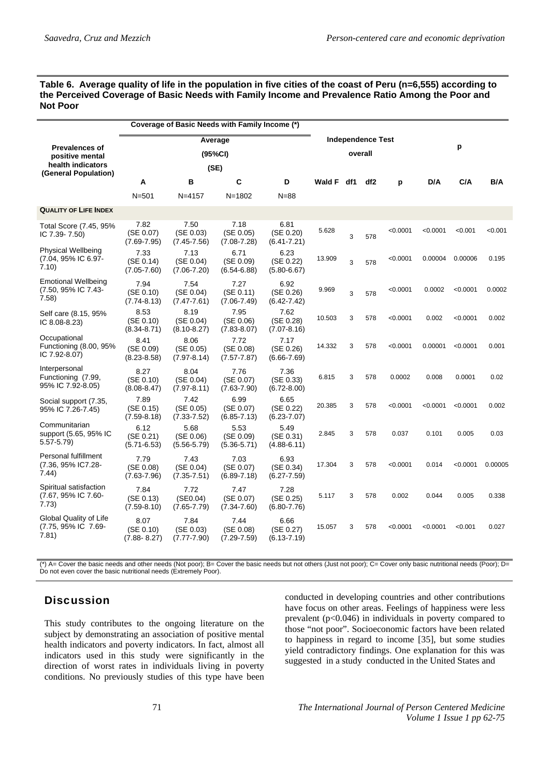#### **Table 6. Average quality of life in the population in five cities of the coast of Peru (n=6,555) according to the Perceived Coverage of Basic Needs with Family Income and Prevalence Ratio Among the Poor and Not Poor**

|                                                               |                                      | Coverage of Basic Needs with Family Income (*) |                                      |                                      |               |     |                                     |          |          |          |         |  |
|---------------------------------------------------------------|--------------------------------------|------------------------------------------------|--------------------------------------|--------------------------------------|---------------|-----|-------------------------------------|----------|----------|----------|---------|--|
| <b>Prevalences of</b><br>positive mental<br>health indicators | Average<br>(95%CI)<br>(SE)           |                                                |                                      |                                      |               |     | <b>Independence Test</b><br>overall |          | p        |          |         |  |
| (General Population)                                          | A                                    | в                                              | С                                    | D                                    | <b>Wald F</b> | df1 | df2                                 | р        | D/A      | C/A      | B/A     |  |
|                                                               | $N = 501$                            | $N = 4157$                                     | $N = 1802$                           | $N = 88$                             |               |     |                                     |          |          |          |         |  |
| <b>QUALITY OF LIFE INDEX</b>                                  |                                      |                                                |                                      |                                      |               |     |                                     |          |          |          |         |  |
| Total Score (7.45, 95%<br>IC $7.39 - 7.50$                    | 7.82<br>(SE 0.07)<br>$(7.69 - 7.95)$ | 7.50<br>(SE 0.03)<br>$(7.45 - 7.56)$           | 7.18<br>(SE 0.05)<br>$(7.08 - 7.28)$ | 6.81<br>(SE 0.20)<br>$(6.41 - 7.21)$ | 5.628         | 3   | 578                                 | < 0.0001 | < 0.0001 | < 0.001  | < 0.001 |  |
| Physical Wellbeing<br>(7.04, 95% IC 6.97-<br>7.10)            | 7.33<br>(SE 0.14)<br>$(7.05 - 7.60)$ | 7.13<br>(SE 0.04)<br>$(7.06 - 7.20)$           | 6.71<br>(SE 0.09)<br>$(6.54 - 6.88)$ | 6.23<br>(SE 0.22)<br>$(5.80 - 6.67)$ | 13.909        | 3   | 578                                 | < 0.0001 | 0.00004  | 0.00006  | 0.195   |  |
| <b>Emotional Wellbeing</b><br>(7.50, 95% IC 7.43-<br>7.58)    | 7.94<br>(SE 0.10)<br>$(7.74 - 8.13)$ | 7.54<br>(SE 0.04)<br>$(7.47 - 7.61)$           | 7.27<br>(SE 0.11)<br>$(7.06 - 7.49)$ | 6.92<br>(SE 0.26)<br>$(6.42 - 7.42)$ | 9.969         | 3   | 578                                 | < 0.0001 | 0.0002   | < 0.0001 | 0.0002  |  |
| Self care (8.15, 95%<br>IC 8.08-8.23)                         | 8.53<br>(SE 0.10)<br>$(8.34 - 8.71)$ | 8.19<br>(SE 0.04)<br>$(8.10 - 8.27)$           | 7.95<br>(SE 0.06)<br>$(7.83 - 8.07)$ | 7.62<br>(SE 0.28)<br>$(7.07 - 8.16)$ | 10.503        | 3   | 578                                 | < 0.0001 | 0.002    | < 0.0001 | 0.002   |  |
| Occupational<br>Functioning (8.00, 95%<br>IC 7.92-8.07)       | 8.41<br>(SE 0.09)<br>$(8.23 - 8.58)$ | 8.06<br>(SE 0.05)<br>$(7.97 - 8.14)$           | 7.72<br>(SE 0.08)<br>$(7.57 - 7.87)$ | 7.17<br>(SE 0.26)<br>$(6.66 - 7.69)$ | 14.332        | 3   | 578                                 | < 0.0001 | 0.00001  | < 0.0001 | 0.001   |  |
| Interpersonal<br>Functioning (7.99,<br>95% IC 7.92-8.05)      | 8.27<br>(SE 0.10)<br>$(8.08 - 8.47)$ | 8.04<br>(SE 0.04)<br>$(7.97 - 8.11)$           | 7.76<br>(SE 0.07)<br>$(7.63 - 7.90)$ | 7.36<br>(SE 0.33)<br>$(6.72 - 8.00)$ | 6.815         | 3   | 578                                 | 0.0002   | 0.008    | 0.0001   | 0.02    |  |
| Social support (7.35,<br>95% IC 7.26-7.45)                    | 7.89<br>(SE 0.15)<br>$(7.59 - 8.18)$ | 7.42<br>(SE 0.05)<br>$(7.33 - 7.52)$           | 6.99<br>(SE 0.07)<br>$(6.85 - 7.13)$ | 6.65<br>(SE 0.22)<br>$(6.23 - 7.07)$ | 20.385        | 3   | 578                                 | < 0.0001 | < 0.0001 | < 0.0001 | 0.002   |  |
| Communitarian<br>support (5.65, 95% IC<br>$5.57 - 5.79$       | 6.12<br>(SE 0.21)<br>$(5.71 - 6.53)$ | 5.68<br>(SE 0.06)<br>$(5.56 - 5.79)$           | 5.53<br>(SE 0.09)<br>$(5.36 - 5.71)$ | 5.49<br>(SE 0.31)<br>$(4.88 - 6.11)$ | 2.845         | 3   | 578                                 | 0.037    | 0.101    | 0.005    | 0.03    |  |
| Personal fulfillment<br>(7.36, 95% IC7.28-<br>7.44)           | 7.79<br>(SE 0.08)<br>$(7.63 - 7.96)$ | 7.43<br>(SE 0.04)<br>$(7.35 - 7.51)$           | 7.03<br>(SE 0.07)<br>$(6.89 - 7.18)$ | 6.93<br>(SE 0.34)<br>$(6.27 - 7.59)$ | 17.304        | 3   | 578                                 | < 0.0001 | 0.014    | < 0.0001 | 0.00005 |  |
| Spiritual satisfaction<br>(7.67, 95% IC 7.60-<br>7.73)        | 7.84<br>(SE 0.13)<br>$(7.59 - 8.10)$ | 7.72<br>(SE0.04)<br>$(7.65 - 7.79)$            | 7.47<br>(SE 0.07)<br>$(7.34 - 7.60)$ | 7.28<br>(SE 0.25)<br>$(6.80 - 7.76)$ | 5.117         | 3   | 578                                 | 0.002    | 0.044    | 0.005    | 0.338   |  |
| <b>Global Quality of Life</b><br>(7.75, 95% IC 7.69-<br>7.81) | 8.07<br>(SE 0.10)<br>$(7.88 - 8.27)$ | 7.84<br>(SE 0.03)<br>$(7.77 - 7.90)$           | 7.44<br>(SE 0.08)<br>$(7.29 - 7.59)$ | 6.66<br>(SE 0.27)<br>$(6.13 - 7.19)$ | 15.057        | 3   | 578                                 | < 0.0001 | < 0.0001 | < 0.001  | 0.027   |  |

(\*) A= Cover the basic needs and other needs (Not poor); B= Cover the basic needs but not others (Just not poor); C= Cover only basic nutritional needs (Poor); D= Do not even cover the basic nutritional needs (Extremely Poor).

# **Discussion**

This study contributes to the ongoing literature on the subject by demonstrating an association of positive mental health indicators and poverty indicators. In fact, almost all indicators used in this study were significantly in the direction of worst rates in individuals living in poverty conditions. No previously studies of this type have been conducted in developing countries and other contributions have focus on other areas. Feelings of happiness were less prevalent  $(p<0.046)$  in individuals in poverty compared to those "not poor". Socioeconomic factors have been related to happiness in regard to income [35], but some studies yield contradictory findings. One explanation for this was suggested in a study conducted in the United States and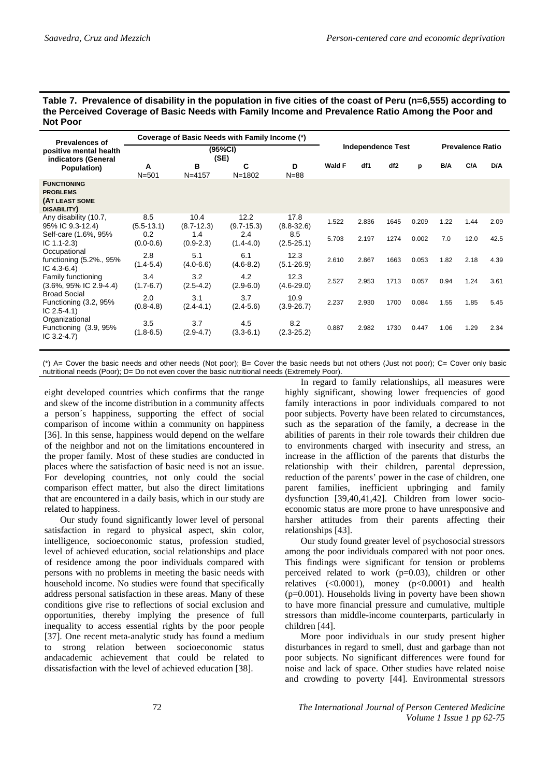| Table 7. Prevalence of disability in the population in five cities of the coast of Peru (n=6,555) according to |
|----------------------------------------------------------------------------------------------------------------|
| the Perceived Coverage of Basic Needs with Family Income and Prevalence Ratio Among the Poor and               |
| <b>Not Poor</b>                                                                                                |

| <b>Prevalences of</b>                                                  | Coverage of Basic Needs with Family Income (*) |                        |                        |                        |        |                          |                 |       |      |      |                         |
|------------------------------------------------------------------------|------------------------------------------------|------------------------|------------------------|------------------------|--------|--------------------------|-----------------|-------|------|------|-------------------------|
| positive mental health<br>indicators (General                          | (95%CI)<br>(SE)                                |                        |                        |                        |        | <b>Independence Test</b> |                 |       |      |      | <b>Prevalence Ratio</b> |
| Population)                                                            | A<br>$N = 501$                                 | в<br>$N = 4157$        | С<br>$N = 1802$        | D<br>$N = 88$          | Wald F | df1                      | df <sub>2</sub> | p     | B/A  | C/A  | D/A                     |
| <b>FUNCTIONING</b><br><b>PROBLEMS</b><br>(AT LEAST SOME<br>DISABILITY) |                                                |                        |                        |                        |        |                          |                 |       |      |      |                         |
| Any disability (10.7,<br>95% IC 9.3-12.4)                              | 8.5<br>$(5.5 - 13.1)$                          | 10.4<br>$(8.7 - 12.3)$ | 12.2<br>$(9.7 - 15.3)$ | 17.8<br>$(8.8 - 32.6)$ | 1.522  | 2.836                    | 1645            | 0.209 | 1.22 | 1.44 | 2.09                    |
| Self-care (1.6%, 95%<br>IC $1.1 - 2.3$                                 | 0.2<br>$(0.0 - 0.6)$                           | 1.4<br>$(0.9 - 2.3)$   | 2.4<br>$(1.4 - 4.0)$   | 8.5<br>$(2.5 - 25.1)$  | 5.703  | 2.197                    | 1274            | 0.002 | 7.0  | 12.0 | 42.5                    |
| Occupational<br>functioning (5.2%., 95%)<br>IC $4.3 - 6.4$ )           | 2.8<br>$(1.4 - 5.4)$                           | 5.1<br>$(4.0 - 6.6)$   | 6.1<br>$(4.6 - 8.2)$   | 12.3<br>$(5.1 - 26.9)$ | 2.610  | 2.867                    | 1663            | 0.053 | 1.82 | 2.18 | 4.39                    |
| Family functioning<br>$(3.6\%, 95\% \text{ IC } 2.9-4.4)$              | 3.4<br>$(1.7 - 6.7)$                           | 3.2<br>$(2.5 - 4.2)$   | 4.2<br>$(2.9 - 6.0)$   | 12.3<br>$(4.6 - 29.0)$ | 2.527  | 2.953                    | 1713            | 0.057 | 0.94 | 1.24 | 3.61                    |
| <b>Broad Social</b><br>Functioning (3.2, 95%<br>IC $2.5 - 4.1$ )       | 2.0<br>$(0.8 - 4.8)$                           | 3.1<br>$(2.4 - 4.1)$   | 3.7<br>$(2.4 - 5.6)$   | 10.9<br>$(3.9 - 26.7)$ | 2.237  | 2.930                    | 1700            | 0.084 | 1.55 | 1.85 | 5.45                    |
| Organizational<br>Functioning (3.9, 95%<br>IC $3.2 - 4.7$ )            | 3.5<br>$(1.8 - 6.5)$                           | 3.7<br>$(2.9 - 4.7)$   | 4.5<br>$(3.3 - 6.1)$   | 8.2<br>$(2.3 - 25.2)$  | 0.887  | 2.982                    | 1730            | 0.447 | 1.06 | 1.29 | 2.34                    |

(\*) A= Cover the basic needs and other needs (Not poor); B= Cover the basic needs but not others (Just not poor); C= Cover only basic nutritional needs (Poor); D= Do not even cover the basic nutritional needs (Extremely Poor).

eight developed countries which confirms that the range and skew of the income distribution in a community affects a person´s happiness, supporting the effect of social comparison of income within a community on happiness [36]. In this sense, happiness would depend on the welfare of the neighbor and not on the limitations encountered in the proper family. Most of these studies are conducted in places where the satisfaction of basic need is not an issue. For developing countries, not only could the social comparison effect matter, but also the direct limitations that are encountered in a daily basis, which in our study are related to happiness.

Our study found significantly lower level of personal satisfaction in regard to physical aspect, skin color, intelligence, socioeconomic status, profession studied, level of achieved education, social relationships and place of residence among the poor individuals compared with persons with no problems in meeting the basic needs with household income. No studies were found that specifically address personal satisfaction in these areas. Many of these conditions give rise to reflections of social exclusion and opportunities, thereby implying the presence of full inequality to access essential rights by the poor people [37]. One recent meta-analytic study has found a medium to strong relation between socioeconomic status andacademic achievement that could be related to dissatisfaction with the level of achieved education [38].

In regard to family relationships, all measures were highly significant, showing lower frequencies of good family interactions in poor individuals compared to not poor subjects. Poverty have been related to circumstances, such as the separation of the family, a decrease in the abilities of parents in their role towards their children due to environments charged with insecurity and stress, an increase in the affliction of the parents that disturbs the relationship with their children, parental depression, reduction of the parents' power in the case of children, one parent families, inefficient upbringing and family dysfunction [39,40,41,42]. Children from lower socioeconomic status are more prone to have unresponsive and harsher attitudes from their parents affecting their relationships [43].

Our study found greater level of psychosocial stressors among the poor individuals compared with not poor ones. This findings were significant for tension or problems perceived related to work  $(p=0.03)$ , children or other relatives  $(\le 0.0001)$ , money  $(p \le 0.0001)$  and health (p=0.001). Households living in poverty have been shown to have more financial pressure and cumulative, multiple stressors than middle-income counterparts, particularly in children [44].

More poor individuals in our study present higher disturbances in regard to smell, dust and garbage than not poor subjects. No significant differences were found for noise and lack of space. Other studies have related noise and crowding to poverty [44]. Environmental stressors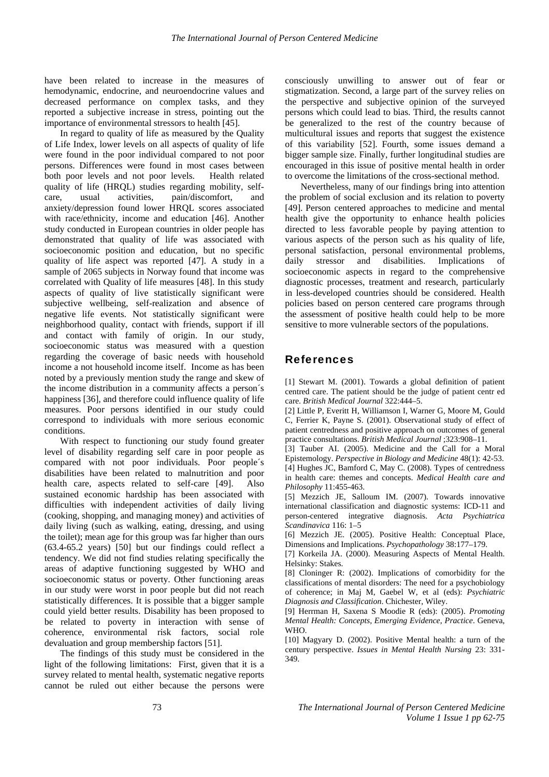have been related to increase in the measures of hemodynamic, endocrine, and neuroendocrine values and decreased performance on complex tasks, and they reported a subjective increase in stress, pointing out the importance of environmental stressors to health [45].

In regard to quality of life as measured by the Quality of Life Index, lower levels on all aspects of quality of life were found in the poor individual compared to not poor persons. Differences were found in most cases between both poor levels and not poor levels. Health related quality of life (HRQL) studies regarding mobility, selfcare, usual activities, pain/discomfort, and anxiety/depression found lower HRQL scores associated with race/ethnicity, income and education [46]. Another study conducted in European countries in older people has demonstrated that quality of life was associated with socioeconomic position and education, but no specific quality of life aspect was reported [47]. A study in a sample of 2065 subjects in Norway found that income was correlated with Quality of life measures [48]. In this study aspects of quality of live statistically significant were subjective wellbeing, self-realization and absence of negative life events. Not statistically significant were neighborhood quality, contact with friends, support if ill and contact with family of origin. In our study, socioeconomic status was measured with a question regarding the coverage of basic needs with household income a not household income itself. Income as has been noted by a previously mention study the range and skew of the income distribution in a community affects a person´s happiness [36], and therefore could influence quality of life measures. Poor persons identified in our study could correspond to individuals with more serious economic conditions.

With respect to functioning our study found greater level of disability regarding self care in poor people as compared with not poor individuals. Poor people´s disabilities have been related to malnutrition and poor health care, aspects related to self-care [49]. Also sustained economic hardship has been associated with difficulties with independent activities of daily living (cooking, shopping, and managing money) and activities of daily living (such as walking, eating, dressing, and using the toilet); mean age for this group was far higher than ours (63.4-65.2 years) [50] but our findings could reflect a tendency. We did not find studies relating specifically the areas of adaptive functioning suggested by WHO and socioeconomic status or poverty. Other functioning areas in our study were worst in poor people but did not reach statistically differences. It is possible that a bigger sample could yield better results. Disability has been proposed to be related to poverty in interaction with sense of coherence, environmental risk factors, social role devaluation and group membership factors [51].

The findings of this study must be considered in the light of the following limitations: First, given that it is a survey related to mental health, systematic negative reports cannot be ruled out either because the persons were

consciously unwilling to answer out of fear or stigmatization. Second, a large part of the survey relies on the perspective and subjective opinion of the surveyed persons which could lead to bias. Third, the results cannot be generalized to the rest of the country because of multicultural issues and reports that suggest the existence of this variability [52]. Fourth, some issues demand a bigger sample size. Finally, further longitudinal studies are encouraged in this issue of positive mental health in order to overcome the limitations of the cross-sectional method.

Nevertheless, many of our findings bring into attention the problem of social exclusion and its relation to poverty [49]. Person centered approaches to medicine and mental health give the opportunity to enhance health policies directed to less favorable people by paying attention to various aspects of the person such as his quality of life, personal satisfaction, personal environmental problems, daily stressor and disabilities. Implications of socioeconomic aspects in regard to the comprehensive diagnostic processes, treatment and research, particularly in less-developed countries should be considered. Health policies based on person centered care programs through the assessment of positive health could help to be more sensitive to more vulnerable sectors of the populations.

## References

[1] Stewart M. (2001). Towards a global definition of patient centred care. The patient should be the judge of patient centr ed care. *British Medical Journal* 322:444–5.

[2] Little P, Everitt H, Williamson I, Warner G, Moore M, Gould C, Ferrier K, Payne S. (2001). Observational study of effect of patient centredness and positive approach on outcomes of general practice consultations. *British Medical Journal* ;323:908–11.

[3] Tauber AI. (2005). Medicine and the Call for a Moral Epistemology. *Perspective in Biology and Medicine* 48(1): 42-53.

[4] Hughes JC, Bamford C, May C. (2008). Types of centredness in health care: themes and concepts. *Medical Health care and Philosophy* 11:455-463.

[5] Mezzich JE, Salloum IM. (2007). Towards innovative international classification and diagnostic systems: ICD-11 and person-centered integrative diagnosis. *Acta Psychiatrica Scandinavica* 116: 1–5

[6] Mezzich JE. (2005). Positive Health: Conceptual Place, Dimensions and Implications. *Psychopathology* 38:177–179.

[7] Korkeila JA. (2000). Measuring Aspects of Mental Health. Helsinky: Stakes.

[8] Cloninger R: (2002). Implications of comorbidity for the classifications of mental disorders: The need for a psychobiology of coherence; in Maj M, Gaebel W, et al (eds): *Psychiatric Diagnosis and Classification*. Chichester, Wiley.

[9] Herrman H, Saxena S Moodie R (eds): (2005). *Promoting Mental Health: Concepts, Emerging Evidence, Practice*. Geneva, WHO.

[10] Magyary D. (2002). Positive Mental health: a turn of the century perspective. *Issues in Mental Health Nursing* 23: 331- 349.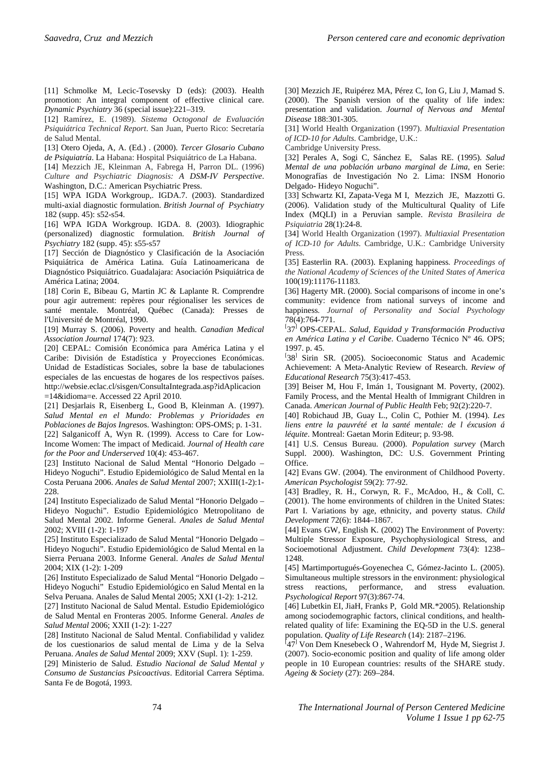[11] Schmolke M, Lecic-Tosevsky D (eds): (2003). Health promotion: An integral component of effective clinical care. *Dynamic Psychiatry* 36 (special issue):221–319.

[12] Ramírez, E. (1989). *Sistema Octogonal de Evaluación Psiquiátrica Technical Report*. San Juan, Puerto Rico: Secretaría de Salud Mental.

[13] Otero Ojeda, A, A. (Ed.) . (2000). *Tercer Glosario Cubano de Psiquiatría*. La Habana: Hospital Psiquiátrico de La Habana.

[14] Mezzich JE, Kleinman A, Fabrega H, Parron DL. (1996) *Culture and Psychiatric Diagnosis: A DSM-IV Perspective*. Washington, D.C.: American Psychiatric Press.

[15] WPA IGDA Workgroup,. IGDA.7. (2003). Standardized multi-axial diagnostic formulation. *British Journal of Psychiatry* 182 (supp. 45): s52-s54.

[16] WPA IGDA Workgroup. IGDA. 8. (2003). Idiographic (personalized) diagnostic formulation. *British Journal of Psychiatry* 182 (supp. 45): s55-s57

[17] Sección de Diagnóstico y Clasificación de la Asociación Psiquiátrica de América Latina. Guía Latinoamericana de Diagnóstico Psiquiátrico. Guadalajara: Asociación Psiquiátrica de América Latina; 2004.

[18] Corin E, Bibeau G, Martin JC & Laplante R. Comprendre pour agir autrement: repères pour régionaliser les services de santé mentale. Montréal, Québec (Canada): Presses de l'Université de Montréal, 1990.

[19] Murray S. (2006). Poverty and health. *Canadian Medical Association Journal* 174(7): 923.

[20] CEPAL: Comisión Económica para América Latina y el Caribe: División de Estadística y Proyecciones Económicas. Unidad de Estadísticas Sociales, sobre la base de tabulaciones especiales de las encuestas de hogares de los respectivos países. http://websie.eclac.cl/sisgen/ConsultaIntegrada.asp?idAplicacion =14&idioma=e. Accessed 22 April 2010.

[21] Desjarlais R, Eisenberg L, Good B, Kleinman A. (1997). *Salud Mental en el Mundo: Problemas y Prioridades en Poblaciones de Bajos Ingreso*s. Washington: OPS-OMS; p. 1-31.

[22] Salganicoff A, Wyn R. (1999). Access to Care for Low-Income Women: The impact of Medicaid. *Journal of Health care for the Poor and Underserved* 10(4): 453-467.

[23] Instituto Nacional de Salud Mental "Honorio Delgado – Hideyo Noguchi". Estudio Epidemiológico de Salud Mental en la Costa Peruana 2006. *Anales de Salud Mental* 2007; XXIII(1-2):1- 228.

[24] Instituto Especializado de Salud Mental "Honorio Delgado – Hideyo Noguchi". Estudio Epidemiológico Metropolitano de Salud Mental 2002. Informe General. *Anales de Salud Mental* 2002; XVIII (1-2): 1-197

[25] Instituto Especializado de Salud Mental "Honorio Delgado – Hideyo Noguchi". Estudio Epidemiológico de Salud Mental en la Sierra Peruana 2003. Informe General. *Anales de Salud Mental* 2004; XIX (1-2): 1-209

[26] Instituto Especializado de Salud Mental "Honorio Delgado – Hideyo Noguchi" Estudio Epidemiológico en Salud Mental en la Selva Peruana. Anales de Salud Mental 2005; XXI (1-2): 1-212.

[27] Instituto Nacional de Salud Mental. Estudio Epidemiológico de Salud Mental en Fronteras 2005. Informe General. *Anales de Salud Mental* 2006; XXII (1-2): 1-227

[28] Instituto Nacional de Salud Mental. Confiabilidad y validez de los cuestionarios de salud mental de Lima y de la Selva Peruana. *Anales de Salud Mental* 2009; XXV (Supl. 1): 1-259.

[29] Ministerio de Salud. *Estudio Nacional de Salud Mental y Consumo de Sustancias Psicoactivas*. Editorial Carrera Séptima. Santa Fe de Bogotá, 1993.

[30] Mezzich JE, Ruipérez MA, Pérez C, Ion G, Liu J, Mamad S. (2000). The Spanish version of the quality of life index: presentation and validation. *Journal of Nervous and Mental Disease* 188:301-305.

[31] World Health Organization (1997). *Multiaxial Presentation of ICD-10 for Adults*. Cambridge, U.K.:

Cambridge University Press.

[32] Perales A, Sogi C, Sánchez E, Salas RE. (1995). *Salud Mental de una población urbano marginal de Lima*, en Serie: Monografías de Investigación No 2. Lima: INSM Honorio Delgado- Hideyo Noguchi".

[33] Schwartz KI, Zapata-Vega M I, Mezzich JE, Mazzotti G. (2006). Validation study of the Multicultural Quality of Life Index (MQLI) in a Peruvian sample. *Revista Brasileira de Psiquiatria* 28(1):24-8.

[34] World Health Organization (1997). *Multiaxial Presentation of ICD-10 for Adults*. Cambridge, U.K.: Cambridge University Press.

[35] Easterlin RA. (2003). Explaning happiness*. Proceedings of the National Academy of Sciences of the United States of America* 100(19):11176-11183.

[36] Hagerty MR. (2000). Social comparisons of income in one's community: evidence from national surveys of income and happiness*. Journal of Personality and Social Psychology* 78(4):764-771.

<sup>[</sup>37<sup>]</sup> OPS-CEPAL. *Salud, Equidad y Transformación Productiva en América Latina y el Caribe*. Cuaderno Técnico Nº 46. OPS; 1997. p. 45.

<sup>[38]</sup> Sirin SR. (2005). Socioeconomic Status and Academic Achievement: A Meta-Analytic Review of Research. *Review of Educational Research* 75(3):417-453.

[39] Beiser M, Hou F, Imán 1, Tousignant M. Poverty, (2002). Family Process, and the Mental Health of Immigrant Children in Canada. *American Journal of Public Health* Feb; 92(2):220-7.

[40] Robichaud JB, Guay L., Colin C, Pothier M. (1994). *Les liens entre la pauvrété et la santé mentale: de l éxcusion á léquite*. Montreal: Gaetan Morin Editeur; p. 93-98.

[41] U.S. Census Bureau. (2000). *Population survey* (March Suppl. 2000). Washington, DC: U.S. Government Printing Office.

[42] Evans GW. (2004). The environment of Childhood Poverty. *American Psychologist* 59(2): 77-92.

[43] Bradley, R. H., Corwyn, R. F., McAdoo, H., & Coll, C. (2001). The home environments of children in the United States: Part I. Variations by age, ethnicity, and poverty status. *Child Development* 72(6): 1844–1867.

[44] Evans GW, English K. (2002) The Environment of Poverty: Multiple Stressor Exposure, Psychophysiological Stress, and Socioemotional Adjustment. *Child Development* 73(4): 1238– 1248.

[45] Martimportugués-Goyenechea C, Gómez-Jacinto L. (2005). Simultaneous multiple stressors in the environment: physiological stress reactions, performance, and stress evaluation. *Psychological Report* 97(3):867-74.

[46] Lubetkin EI, JiaH, Franks P, Gold MR.\*2005). Relationship among sociodemographic factors, clinical conditions, and healthrelated quality of life: Examining the EQ-5D in the U.S. general population. *Quality of Life Research* (14): 2187–2196.<br><sup>[</sup>47<sup>]</sup> Von Dem Knesebeck O , Wahrendorf M, Hyde M, Siegrist J.

(2007). Socio-economic position and quality of life among older people in 10 European countries: results of the SHARE study. *Ageing & Society* (27): 269–284.